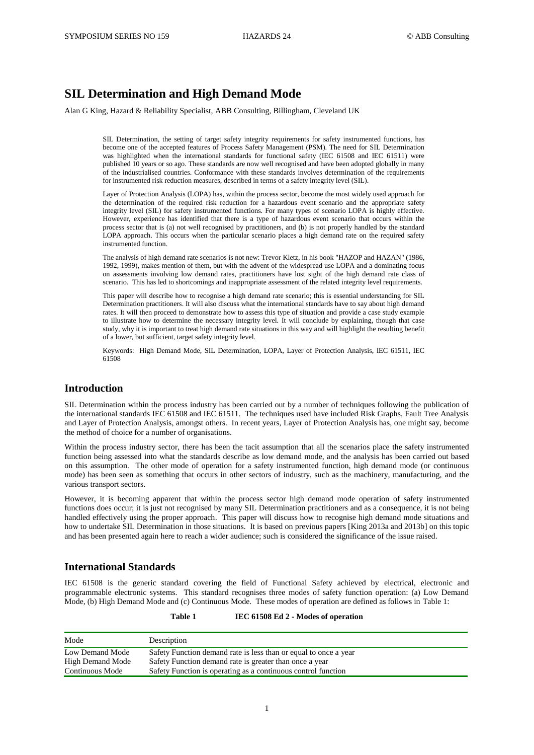# **SIL Determination and High Demand Mode**

Alan G King, Hazard & Reliability Specialist, ABB Consulting, Billingham, Cleveland UK

SIL Determination, the setting of target safety integrity requirements for safety instrumented functions, has become one of the accepted features of Process Safety Management (PSM). The need for SIL Determination was highlighted when the international standards for functional safety (IEC 61508 and IEC 61511) were published 10 years or so ago. These standards are now well recognised and have been adopted globally in many of the industrialised countries. Conformance with these standards involves determination of the requirements for instrumented risk reduction measures, described in terms of a safety integrity level (SIL).

Layer of Protection Analysis (LOPA) has, within the process sector, become the most widely used approach for the determination of the required risk reduction for a hazardous event scenario and the appropriate safety integrity level (SIL) for safety instrumented functions. For many types of scenario LOPA is highly effective. However, experience has identified that there is a type of hazardous event scenario that occurs within the process sector that is (a) not well recognised by practitioners, and (b) is not properly handled by the standard LOPA approach. This occurs when the particular scenario places a high demand rate on the required safety instrumented function.

The analysis of high demand rate scenarios is not new: Trevor Kletz, in his book "HAZOP and HAZAN" (1986, 1992, 1999), makes mention of them, but with the advent of the widespread use LOPA and a dominating focus on assessments involving low demand rates, practitioners have lost sight of the high demand rate class of scenario. This has led to shortcomings and inappropriate assessment of the related integrity level requirements.

This paper will describe how to recognise a high demand rate scenario; this is essential understanding for SIL Determination practitioners. It will also discuss what the international standards have to say about high demand rates. It will then proceed to demonstrate how to assess this type of situation and provide a case study example to illustrate how to determine the necessary integrity level. It will conclude by explaining, though that case study, why it is important to treat high demand rate situations in this way and will highlight the resulting benefit of a lower, but sufficient, target safety integrity level.

Keywords: High Demand Mode, SIL Determination, LOPA, Layer of Protection Analysis, IEC 61511, IEC 61508

# **Introduction**

SIL Determination within the process industry has been carried out by a number of techniques following the publication of the international standards IEC 61508 and IEC 61511. The techniques used have included Risk Graphs, Fault Tree Analysis and Layer of Protection Analysis, amongst others. In recent years, Layer of Protection Analysis has, one might say, become the method of choice for a number of organisations.

Within the process industry sector, there has been the tacit assumption that all the scenarios place the safety instrumented function being assessed into what the standards describe as low demand mode, and the analysis has been carried out based on this assumption. The other mode of operation for a safety instrumented function, high demand mode (or continuous mode) has been seen as something that occurs in other sectors of industry, such as the machinery, manufacturing, and the various transport sectors.

However, it is becoming apparent that within the process sector high demand mode operation of safety instrumented functions does occur; it is just not recognised by many SIL Determination practitioners and as a consequence, it is not being handled effectively using the proper approach. This paper will discuss how to recognise high demand mode situations and how to undertake SIL Determination in those situations. It is based on previous papers [King 2013a and 2013b] on this topic and has been presented again here to reach a wider audience; such is considered the significance of the issue raised.

#### **International Standards**

IEC 61508 is the generic standard covering the field of Functional Safety achieved by electrical, electronic and programmable electronic systems. This standard recognises three modes of safety function operation: (a) Low Demand Mode, (b) High Demand Mode and (c) Continuous Mode. These modes of operation are defined as follows in [Table 1:](#page-0-0)

| Table 1 | IEC 61508 Ed 2 - Modes of operation |
|---------|-------------------------------------|
|         |                                     |

<span id="page-0-0"></span>

| Mode             | Description                                                      |
|------------------|------------------------------------------------------------------|
| Low Demand Mode  | Safety Function demand rate is less than or equal to once a year |
| High Demand Mode | Safety Function demand rate is greater than once a year          |
| Continuous Mode  | Safety Function is operating as a continuous control function    |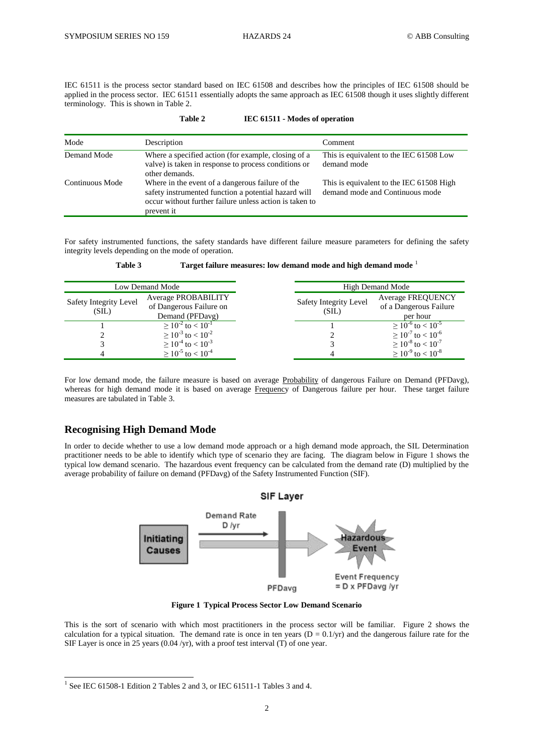IEC 61511 is the process sector standard based on IEC 61508 and describes how the principles of IEC 61508 should be applied in the process sector. IEC 61511 essentially adopts the same approach as IEC 61508 though it uses slightly different terminology. This is shown i[n Table 2.](#page-1-0)

**Table 2 IEC 61511 - Modes of operation**

<span id="page-1-0"></span>

| $1$ aine $\mu$<br>TEC 01311 - MOUG OF OPERATION                                                                                                                                                      |                                                                                                                               |                                                                             |  |  |
|------------------------------------------------------------------------------------------------------------------------------------------------------------------------------------------------------|-------------------------------------------------------------------------------------------------------------------------------|-----------------------------------------------------------------------------|--|--|
| Mode                                                                                                                                                                                                 | Description                                                                                                                   | Comment                                                                     |  |  |
| Demand Mode                                                                                                                                                                                          | Where a specified action (for example, closing of a<br>valve) is taken in response to process conditions or<br>other demands. | This is equivalent to the IEC 61508 Low<br>demand mode                      |  |  |
| Continuous Mode<br>Where in the event of a dangerous failure of the<br>safety instrumented function a potential hazard will<br>occur without further failure unless action is taken to<br>prevent it |                                                                                                                               | This is equivalent to the IEC 61508 High<br>demand mode and Continuous mode |  |  |

For safety instrumented functions, the safety standards have different failure measure parameters for defining the safety integrity levels depending on the mode of operation.

<span id="page-1-1"></span>

| Low Demand Mode                 |                                                                   | High Demand Mode                |                                                                |  |
|---------------------------------|-------------------------------------------------------------------|---------------------------------|----------------------------------------------------------------|--|
| Safety Integrity Level<br>(SIL) | Average PROBABILITY<br>of Dangerous Failure on<br>Demand (PFDavg) | Safety Integrity Level<br>(SIL) | <b>Average FREQUENCY</b><br>of a Dangerous Failure<br>per hour |  |
|                                 | $\geq 10^{-2}$ to $< 10^{-1}$                                     |                                 | $> 10^{-6}$ to $< 10^{-5}$                                     |  |
|                                 | $\geq 10^{-3}$ to $< 10^{-2}$                                     |                                 | $\geq 10^{-7}$ to $< 10^{-6}$                                  |  |
|                                 | $\geq 10^{-4}$ to $< 10^{-3}$                                     |                                 | $\geq 10^{-8}$ to $< 10^{-7}$                                  |  |
|                                 | $\geq 10^{-5}$ to $< 10^{-4}$                                     |                                 | $\geq 10^{-9}$ to $< 10^{-8}$                                  |  |

**Table 3 Target failure measures: low demand mode and high demand mode** <sup>1</sup>

For low demand mode, the failure measure is based on average Probability of dangerous Failure on Demand (PFDavg), whereas for high demand mode it is based on average Frequency of Dangerous failure per hour. These target failure measures are tabulated i[n Table 3.](#page-1-1)

# **Recognising High Demand Mode**

In order to decide whether to use a low demand mode approach or a high demand mode approach, the SIL Determination practitioner needs to be able to identify which type of scenario they are facing. The diagram below in [Figure 1](#page-1-2) shows the typical low demand scenario. The hazardous event frequency can be calculated from the demand rate (D) multiplied by the average probability of failure on demand (PFDavg) of the Safety Instrumented Function (SIF).



**Figure 1 Typical Process Sector Low Demand Scenario**

<span id="page-1-2"></span>This is the sort of scenario with which most practitioners in the process sector will be familiar. [Figure 2](#page-2-0) shows the calculation for a typical situation. The demand rate is once in ten years ( $D = 0.1/\text{yr}$ ) and the dangerous failure rate for the SIF Layer is once in 25 years (0.04 /yr), with a proof test interval (T) of one year.

 1 See IEC 61508-1 Edition 2 Tables 2 and 3, or IEC 61511-1 Tables 3 and 4.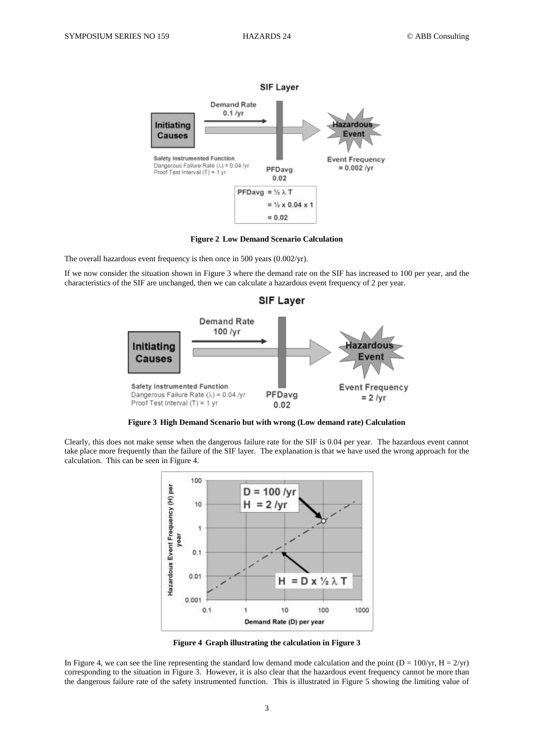

**Figure 2 Low Demand Scenario Calculation**

<span id="page-2-0"></span>The overall hazardous event frequency is then once in 500 years (0.002/yr).

If we now consider the situation shown in [Figure 3](#page-2-1) where the demand rate on the SIF has increased to 100 per year, and the characteristics of the SIF are unchanged, then we can calculate a hazardous event frequency of 2 per year.



**Figure 3 High Demand Scenario but with wrong (Low demand rate) Calculation**

<span id="page-2-1"></span>Clearly, this does not make sense when the dangerous failure rate for the SIF is 0.04 per year. The hazardous event cannot take place more frequently than the failure of the SIF layer. The explanation is that we have used the wrong approach for the calculation. This can be seen i[n Figure 4.](#page-2-2)



**Figure 4 Graph illustrating the calculation in [Figure 3](#page-2-1)**

<span id="page-2-2"></span>In [Figure 4,](#page-2-2) we can see the line representing the standard low demand mode calculation and the point ( $D = 100/yr$ ,  $H = 2/yr$ ) corresponding to the situation in [Figure 3.](#page-2-1) However, it is also clear that the hazardous event frequency cannot be more than the dangerous failure rate of the safety instrumented function. This is illustrated in [Figure 5](#page-3-0) showing the limiting value of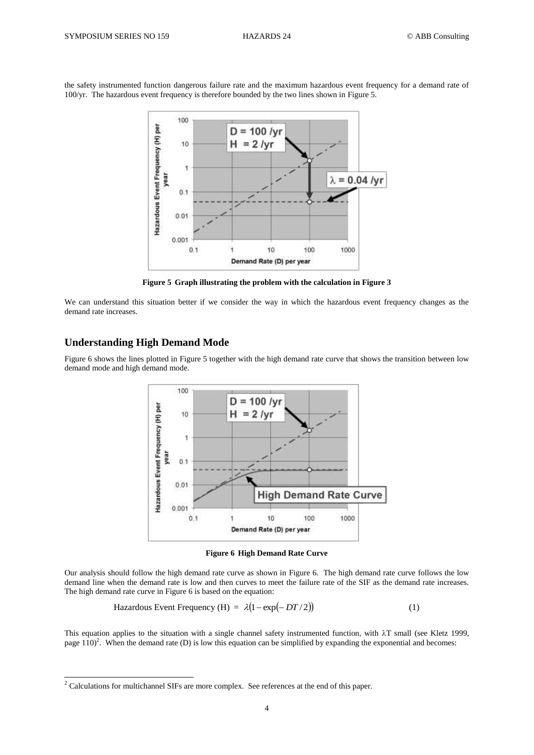the safety instrumented function dangerous failure rate and the maximum hazardous event frequency for a demand rate of 100/yr. The hazardous event frequency is therefore bounded by the two lines shown in [Figure 5.](#page-3-0)



**Figure 5 Graph illustrating the problem with the calculation in [Figure 3](#page-2-1)**

<span id="page-3-0"></span>We can understand this situation better if we consider the way in which the hazardous event frequency changes as the demand rate increases.

### **Understanding High Demand Mode**

-

[Figure 6](#page-3-1) shows the lines plotted in [Figure 5](#page-3-0) together with the high demand rate curve that shows the transition between low demand mode and high demand mode.



**Figure 6 High Demand Rate Curve**

<span id="page-3-1"></span>Our analysis should follow the high demand rate curve as shown in [Figure 6.](#page-3-1) The high demand rate curve follows the low demand line when the demand rate is low and then curves to meet the failure rate of the SIF as the demand rate increases. The high demand rate curve i[n Figure 6](#page-3-1) is based on the equation:

Hazardous Event Frequency (H) = 
$$
\lambda(1 - \exp(-DT/2))
$$
 (1)

This equation applies to the situation with a single channel safety instrumented function, with  $\lambda$ T small (see Kletz 1999, page  $110$ <sup>2</sup>. When the demand rate (D) is low this equation can be simplified by expanding the exponential and becomes:

 $2^2$  Calculations for multichannel SIFs are more complex. See references at the end of this paper.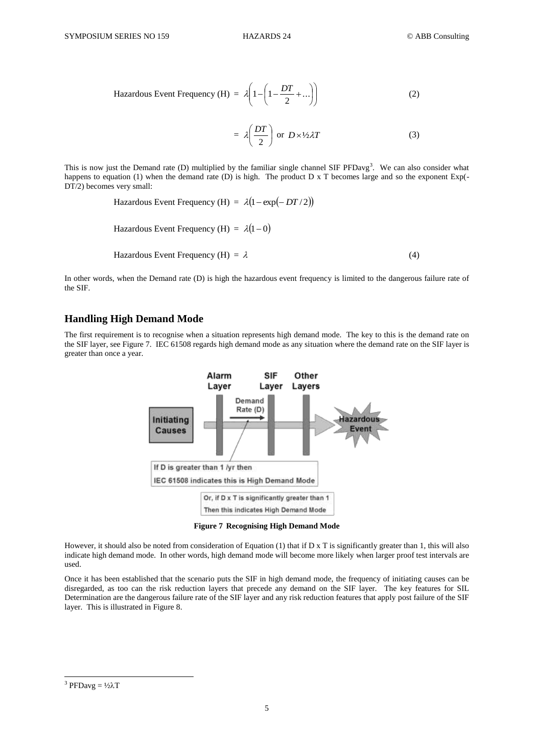Hazardous Event Frequency (H) = 
$$
\lambda \left( 1 - \left( 1 - \frac{DT}{2} + ... \right) \right)
$$
 (2)

$$
= \lambda \left( \frac{DT}{2} \right) \text{ or } D \times \frac{1}{2} \lambda T \tag{3}
$$

This is now just the Demand rate (D) multiplied by the familiar single channel SIF  $PFDay<sup>3</sup>$ . We can also consider what happens to equation (1) when the demand rate (D) is high. The product D x T becomes large and so the exponent Exp(-DT/2) becomes very small:

Hazardous Event Frequency (H) =  $\lambda(1 - \exp(-DT/2))$ 

Hazardous Event Frequency (H) =  $\lambda(1-0)$ 

Hazardous Event Frequency (H) =  $\lambda$ (4)

In other words, when the Demand rate (D) is high the hazardous event frequency is limited to the dangerous failure rate of the SIF.

#### **Handling High Demand Mode**

The first requirement is to recognise when a situation represents high demand mode. The key to this is the demand rate on the SIF layer, se[e Figure 7.](#page-4-0) IEC 61508 regards high demand mode as any situation where the demand rate on the SIF layer is greater than once a year.



**Figure 7 Recognising High Demand Mode**

<span id="page-4-0"></span>However, it should also be noted from consideration of Equation  $(1)$  that if D x T is significantly greater than 1, this will also indicate high demand mode. In other words, high demand mode will become more likely when larger proof test intervals are used.

Once it has been established that the scenario puts the SIF in high demand mode, the frequency of initiating causes can be disregarded, as too can the risk reduction layers that precede any demand on the SIF layer. The key features for SIL Determination are the dangerous failure rate of the SIF layer and any risk reduction features that apply post failure of the SIF layer. This is illustrated i[n Figure 8.](#page-5-0)

-

<sup>&</sup>lt;sup>3</sup> PFDavg =  $\frac{1}{2}$  $\lambda$ T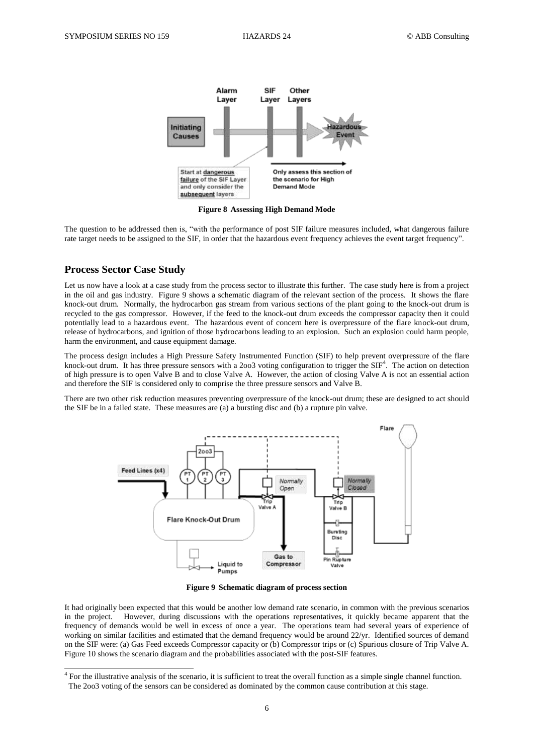

**Figure 8 Assessing High Demand Mode**

<span id="page-5-0"></span>The question to be addressed then is, "with the performance of post SIF failure measures included, what dangerous failure rate target needs to be assigned to the SIF, in order that the hazardous event frequency achieves the event target frequency".

# **Process Sector Case Study**

1

Let us now have a look at a case study from the process sector to illustrate this further. The case study here is from a project in the oil and gas industry. [Figure 9](#page-5-1) shows a schematic diagram of the relevant section of the process. It shows the flare knock-out drum. Normally, the hydrocarbon gas stream from various sections of the plant going to the knock-out drum is recycled to the gas compressor. However, if the feed to the knock-out drum exceeds the compressor capacity then it could potentially lead to a hazardous event. The hazardous event of concern here is overpressure of the flare knock-out drum, release of hydrocarbons, and ignition of those hydrocarbons leading to an explosion. Such an explosion could harm people, harm the environment, and cause equipment damage.

The process design includes a High Pressure Safety Instrumented Function (SIF) to help prevent overpressure of the flare knock-out drum. It has three pressure sensors with a 2003 voting configuration to trigger the SIF<sup>4</sup>. The action on detection of high pressure is to open Valve B and to close Valve A. However, the action of closing Valve A is not an essential action and therefore the SIF is considered only to comprise the three pressure sensors and Valve B.

There are two other risk reduction measures preventing overpressure of the knock-out drum; these are designed to act should the SIF be in a failed state. These measures are (a) a bursting disc and (b) a rupture pin valve.



**Figure 9 Schematic diagram of process section**

<span id="page-5-1"></span>It had originally been expected that this would be another low demand rate scenario, in common with the previous scenarios in the project. However, during discussions with the operations representatives, it quickly became apparent that the frequency of demands would be well in excess of once a year. The operations team had several years of experience of working on similar facilities and estimated that the demand frequency would be around 22/yr. Identified sources of demand on the SIF were: (a) Gas Feed exceeds Compressor capacity or (b) Compressor trips or (c) Spurious closure of Trip Valve A. [Figure 10](#page-6-0) shows the scenario diagram and the probabilities associated with the post-SIF features.

 $<sup>4</sup>$  For the illustrative analysis of the scenario, it is sufficient to treat the overall function as a simple single channel function.</sup> The 2oo3 voting of the sensors can be considered as dominated by the common cause contribution at this stage.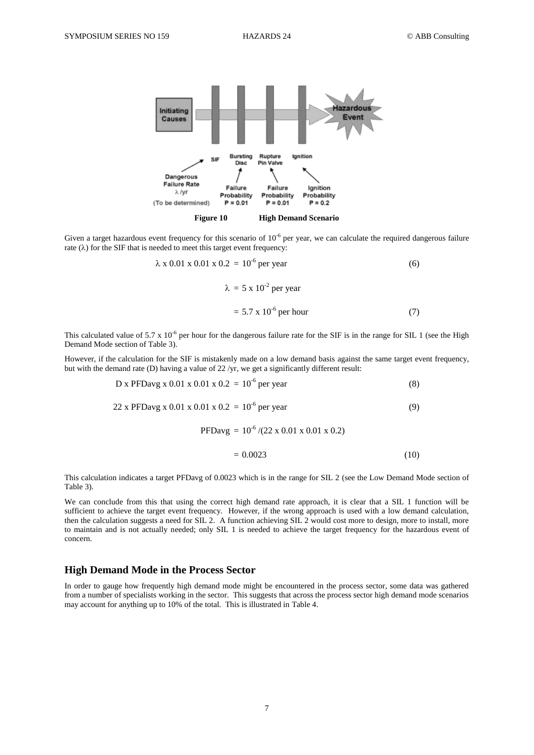

<span id="page-6-0"></span>Given a target hazardous event frequency for this scenario of  $10^{-6}$  per year, we can calculate the required dangerous failure rate  $(\lambda)$  for the SIF that is needed to meet this target event frequency:

$$
\lambda \times 0.01 \times 0.01 \times 0.2 = 10^{-6}
$$
 per year (6)  
 $\lambda = 5 \times 10^{-2}$  per year  
 $= 5.7 \times 10^{-6}$  per hour (7)

This calculated value of 5.7 x  $10^{-6}$  per hour for the dangerous failure rate for the SIF is in the range for SIL 1 (see the High Demand Mode section o[f Table 3\)](#page-1-1).

However, if the calculation for the SIF is mistakenly made on a low demand basis against the same target event frequency, but with the demand rate (D) having a value of 22 /yr, we get a significantly different result:

$$
D x PFDavg x 0.01 x 0.01 x 0.2 = 10^{-6} per year
$$
 (8)

$$
22 \times \text{PFDavg} \times 0.01 \times 0.01 \times 0.2 = 10^{-6} \text{ per year}
$$
 (9)

PFDavg =  $10^{-6}$  /(22 x 0.01 x 0.01 x 0.2)

$$
= 0.0023 \tag{10}
$$

This calculation indicates a target PFDavg of 0.0023 which is in the range for SIL 2 (see the Low Demand Mode section of [Table 3\)](#page-1-1).

We can conclude from this that using the correct high demand rate approach, it is clear that a SIL 1 function will be sufficient to achieve the target event frequency. However, if the wrong approach is used with a low demand calculation, then the calculation suggests a need for SIL 2. A function achieving SIL 2 would cost more to design, more to install, more to maintain and is not actually needed; only SIL 1 is needed to achieve the target frequency for the hazardous event of concern.

#### **High Demand Mode in the Process Sector**

In order to gauge how frequently high demand mode might be encountered in the process sector, some data was gathered from a number of specialists working in the sector. This suggests that across the process sector high demand mode scenarios may account for anything up to 10% of the total. This is illustrated i[n Table 4.](#page-7-0)